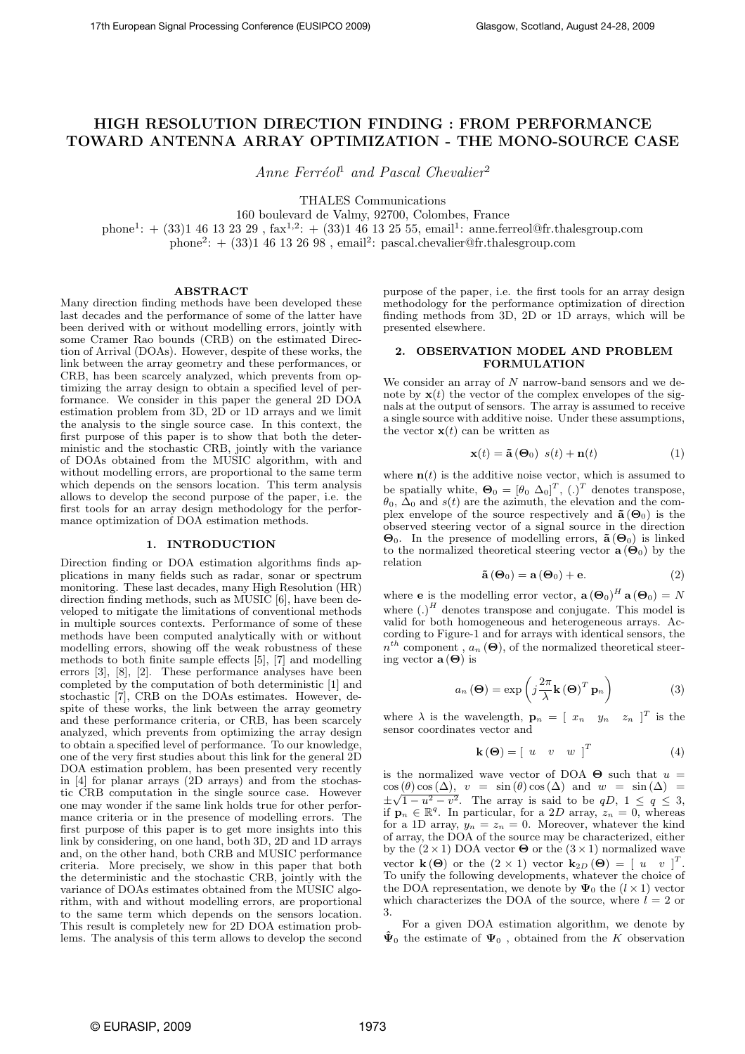# HIGH RESOLUTION DIRECTION FINDING : FROM PERFORMANCE TOWARD ANTENNA ARRAY OPTIMIZATION - THE MONO-SOURCE CASE

Anne Ferréol<sup>1</sup> and Pascal Chevalier<sup>2</sup>

THALES Communications

160 boulevard de Valmy, 92700, Colombes, France phone<sup>1</sup>:  $+$  (33)1 46 13 23 29, fax<sup>1,2</sup>:  $+$  (33)1 46 13 25 55, email<sup>1</sup>: anne.ferreol@fr.thalesgroup.com phone<sup>2</sup>:  $+$  (33)1 46 13 26 98, email<sup>2</sup>: pascal.chevalier@fr.thalesgroup.com

#### ABSTRACT

Many direction finding methods have been developed these last decades and the performance of some of the latter have been derived with or without modelling errors, jointly with some Cramer Rao bounds (CRB) on the estimated Direction of Arrival (DOAs). However, despite of these works, the link between the array geometry and these performances, or CRB, has been scarcely analyzed, which prevents from optimizing the array design to obtain a specified level of performance. We consider in this paper the general 2D DOA estimation problem from 3D, 2D or 1D arrays and we limit the analysis to the single source case. In this context, the first purpose of this paper is to show that both the deterministic and the stochastic CRB, jointly with the variance of DOAs obtained from the MUSIC algorithm, with and without modelling errors, are proportional to the same term which depends on the sensors location. This term analysis allows to develop the second purpose of the paper, i.e. the first tools for an array design methodology for the performance optimization of DOA estimation methods.

## 1. INTRODUCTION

Direction finding or DOA estimation algorithms finds applications in many fields such as radar, sonar or spectrum monitoring. These last decades, many High Resolution (HR) direction finding methods, such as MUSIC [6], have been developed to mitigate the limitations of conventional methods in multiple sources contexts. Performance of some of these methods have been computed analytically with or without modelling errors, showing off the weak robustness of these methods to both finite sample effects [5], [7] and modelling errors [3], [8], [2]. These performance analyses have been completed by the computation of both deterministic [1] and stochastic [7], CRB on the DOAs estimates. However, despite of these works, the link between the array geometry and these performance criteria, or CRB, has been scarcely analyzed, which prevents from optimizing the array design to obtain a specified level of performance. To our knowledge, one of the very first studies about this link for the general 2D DOA estimation problem, has been presented very recently in [4] for planar arrays (2D arrays) and from the stochastic CRB computation in the single source case. However one may wonder if the same link holds true for other performance criteria or in the presence of modelling errors. The first purpose of this paper is to get more insights into this link by considering, on one hand, both 3D, 2D and 1D arrays and, on the other hand, both CRB and MUSIC performance criteria. More precisely, we show in this paper that both the deterministic and the stochastic CRB, jointly with the variance of DOAs estimates obtained from the MUSIC algorithm, with and without modelling errors, are proportional to the same term which depends on the sensors location. This result is completely new for 2D DOA estimation problems. The analysis of this term allows to develop the second

purpose of the paper, i.e. the first tools for an array design methodology for the performance optimization of direction finding methods from 3D, 2D or 1D arrays, which will be presented elsewhere.

## 2. OBSERVATION MODEL AND PROBLEM FORMULATION

We consider an array of  $N$  narrow-band sensors and we denote by  $\mathbf{x}(t)$  the vector of the complex envelopes of the signals at the output of sensors. The array is assumed to receive a single source with additive noise. Under these assumptions, the vector  $\mathbf{x}(t)$  can be written as

$$
\mathbf{x}(t) = \tilde{\mathbf{a}}\left(\mathbf{\Theta}_0\right) \ s(t) + \mathbf{n}(t) \tag{1}
$$

where  $\mathbf{n}(t)$  is the additive noise vector, which is assumed to be spatially white,  $\mathbf{\Theta}_0 = [\theta_0 \; \Delta_0]^T$ ,  $(.)^T$  denotes transpose,  $\theta_0$ ,  $\bar{\Delta}_0$  and  $s(t)$  are the azimuth, the elevation and the complex envelope of the source respectively and  $\tilde{\mathbf{a}}(\Theta_0)$  is the observed steering vector of a signal source in the direction  $Θ_0$ . In the presence of modelling errors,  $\tilde{a}(\Theta_0)$  is linked to the normalized theoretical steering vector  $\mathbf{a}(\Theta_0)$  by the relation

$$
\tilde{\mathbf{a}}\left(\mathbf{\Theta}_{0}\right) = \mathbf{a}\left(\mathbf{\Theta}_{0}\right) + \mathbf{e}.\tag{2}
$$

where **e** is the modelling error vector,  $\mathbf{a}(\mathbf{\Theta}_0)^H \mathbf{a}(\mathbf{\Theta}_0) = N$ where  $(.)^H$  denotes transpose and conjugate. This model is valid for both homogeneous and heterogeneous arrays. According to Figure-1 and for arrays with identical sensors, the  $n^{th}$  component,  $a_n(\Theta)$ , of the normalized theoretical steering vector  $\mathbf{a}(\Theta)$  is

$$
a_n(\mathbf{\Theta}) = \exp\left(j\frac{2\pi}{\lambda}\mathbf{k}(\mathbf{\Theta})^T\mathbf{p}_n\right)
$$
 (3)

where  $\lambda$  is the wavelength,  $\mathbf{p}_n = \begin{bmatrix} x_n & y_n & z_n \end{bmatrix}^T$  is the sensor coordinates vector and

$$
\mathbf{k}(\mathbf{\Theta}) = \begin{bmatrix} u & v & w \end{bmatrix}^T \tag{4}
$$

is the normalized wave vector of DOA  $\Theta$  such that  $u =$  $\cos(\theta)\cos(\Delta), v = \sin(\theta)\cos(\Delta)$  and  $w = \sin(\Delta)$  $\cos(\theta) \cos(\Delta), v = \sin(\theta) \cos(\Delta)$  and  $w = \sin(\Delta) = \pm \sqrt{1 - u^2 - v^2}$ . The array is said to be  $qD, 1 \le q \le 3$ , if  $\mathbf{p}_n \in \mathbb{R}^q$ . In particular, for a 2D array,  $z_n = 0$ , whereas for a 1D array,  $y_n = z_n = 0$ . Moreover, whatever the kind of array, the DOA of the source may be characterized, either by the  $(2 \times 1)$  DOA vector  $\Theta$  or the  $(3 \times 1)$  normalized wave vector  $\mathbf{k}(\Theta)$  or the  $(2 \times 1)$  vector  $\mathbf{k}_{2D}(\Theta) = \begin{bmatrix} u & v \end{bmatrix}^T$ . To unify the following developments, whatever the choice of the DOA representation, we denote by  $\Psi_0$  the  $(l \times 1)$  vector which characterizes the DOA of the source, where  $l = 2$  or 3.

For a given DOA estimation algorithm, we denote by  $\hat{\Psi}_0$  the estimate of  $\Psi_0$ , obtained from the K observation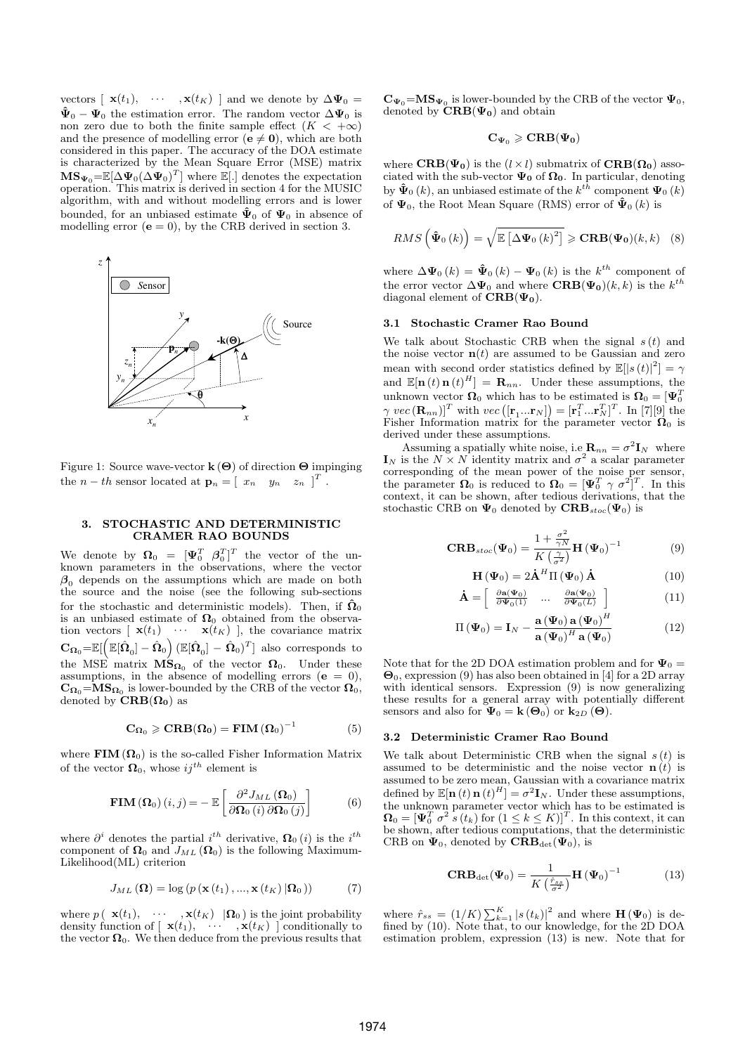vectors  $[\mathbf{x}(t_1), \cdots, \mathbf{x}(t_K)]$  and we denote by  $\Delta \Psi_0 =$  $\hat{\Psi}_0 - \Psi_0$  the estimation error. The random vector  $\Delta \Psi_0$  is non zero due to both the finite sample effect  $(K < +\infty)$ and the presence of modelling error  $(\mathbf{e} \neq \mathbf{0})$ , which are both considered in this paper. The accuracy of the DOA estimate is characterized by the Mean Square Error (MSE) matrix  $\mathbf{MS}_{\Psi_0} = \mathbb{E}[\Delta \Psi_0(\Delta \Psi_0)^T]$  where  $\mathbb{E}[.]$  denotes the expectation operation. This matrix is derived in section 4 for the MUSIC algorithm, with and without modelling errors and is lower bounded, for an unbiased estimate  $\hat{\Psi}_{0}$  of  $\Psi_{0}$  in absence of modelling error ( $\mathbf{e} = 0$ ), by the CRB derived in section 3.



Figure 1: Source wave-vector  $\mathbf{k}(\Theta)$  of direction  $\Theta$  impinging the  $n-th$  sensor located at  $\mathbf{p}_n = \begin{bmatrix} x_n & y_n & z_n \end{bmatrix}^T$ .

## 3. STOCHASTIC AND DETERMINISTIC CRAMER RAO BOUNDS

We denote by  $\mathbf{\Omega}_0 = [\mathbf{\Psi}_0^T \ \beta_0^T]^T$  the vector of the unknown parameters in the observations, where the vector  $\beta_0$  depends on the assumptions which are made on both the source and the noise (see the following sub-sections for the stochastic and deterministic models). Then, if  $\hat{\Omega}_0$ is an unbiased estimate of  $\Omega_0$  obtained from the observation vectors  $\begin{bmatrix} \mathbf{x}(t_1) & \cdots & \mathbf{x}(t_K) \end{bmatrix}$ , the covariance matrix  $\mathbf{C}_{\mathbf{\Omega}_0} = \mathbb{E}[\left(\mathbb{E}[\hat{\mathbf{\Omega}}_0] - \hat{\mathbf{\Omega}}_0\right) (\mathbb{E}[\hat{\mathbf{\Omega}}_0] - \hat{\mathbf{\Omega}}_0)^T]$  also corresponds to the MSE matrix  $\overrightarrow{MS}_{\Omega_0}$  of the vector  $\Omega_0$ . Under these assumptions, in the absence of modelling errors ( $e = 0$ ),  $\mathbf{C}_{\mathbf{\Omega}_0} = \mathbf{MS}_{\mathbf{\Omega}_0}$  is lower-bounded by the CRB of the vector  $\mathbf{\Omega}_0$ , denoted by  $\mathbf{CRB}(\mathbf{\Omega_0})$  as

$$
\mathbf{C}_{\Omega_0} \geqslant \mathbf{CRB}(\Omega_0) = \mathbf{FIM}(\Omega_0)^{-1} \tag{5}
$$

where  $\text{FIM}(\Omega_0)$  is the so-called Fisher Information Matrix of the vector  $\Omega_0$ , whose  $ij^{th}$  element is

$$
\mathbf{FIM}\left(\mathbf{\Omega}_{0}\right)(i,j) = -\mathbb{E}\left[\frac{\partial^{2} J_{ML}\left(\mathbf{\Omega}_{0}\right)}{\partial \mathbf{\Omega}_{0}\left(i\right)\partial \mathbf{\Omega}_{0}\left(j\right)}\right]
$$
(6)

where  $\partial^i$  denotes the partial  $i^{th}$  derivative,  $\Omega_0(i)$  is the  $i^{th}$ component of  $\Omega_0$  and  $J_{ML}(\Omega_0)$  is the following Maximum-Likelihood(ML) criterion

$$
J_{ML}(\mathbf{\Omega}) = \log (p(\mathbf{x}(t_1), ..., \mathbf{x}(t_K)|\mathbf{\Omega}_0))
$$
 (7)

where  $p(\mathbf{x}(t_1), \cdots, \mathbf{x}(t_K) | \mathbf{\Omega}_0)$  is the joint probability density function of  $\left[\begin{array}{ccc} \mathbf{x}(t_1), & \cdots, \mathbf{x}(t_K) \end{array}\right]$  conditionally to the vector  $\Omega_0$ . We then deduce from the previous results that

 $\mathbf{C}_{\Psi_0} = \mathbf{MS}_{\Psi_0}$  is lower-bounded by the CRB of the vector  $\Psi_0$ , denoted by  $\text{CRB}(\Psi_0)$  and obtain

$$
\mathbf{C}_{\Psi_0} \geqslant \mathbf{CRB}(\Psi_0)
$$

where  $\text{CRB}(\Psi_0)$  is the  $(l \times l)$  submatrix of  $\text{CRB}(\Omega_0)$  associated with the sub-vector  $\Psi_0$  of  $\Omega_0$ . In particular, denoting by  $\mathbf{\hat{\Psi}}_0(k)$ , an unbiased estimate of the  $k^{t\bar{h}}$  component  $\mathbf{\Psi}_0(k)$ of  $\Psi_0$ , the Root Mean Square (RMS) error of  $\hat{\Psi}_0(k)$  is

$$
RMS\left(\hat{\Psi}_0(k)\right) = \sqrt{\mathbb{E}\left[\Delta\Psi_0(k)^2\right]} \geqslant \mathbf{CRB}(\Psi_0)(k,k) \quad (8)
$$

where  $\Delta \Psi_0(k) = \hat{\Psi}_0(k) - \Psi_0(k)$  is the  $k^{th}$  component of the error vector  $\Delta \Psi_0$  and where  $\mathbf{CRB}(\Psi_0)(k,k)$  is the  $k^{th}$ diagonal element of  $CRB(\Psi_0)$ .

## 3.1 Stochastic Cramer Rao Bound

We talk about Stochastic CRB when the signal  $s(t)$  and the noise vector  $\mathbf{n}(t)$  are assumed to be Gaussian and zero mean with second order statistics defined by  $\mathbb{E}(|s(t)|^2) = \gamma$ and  $\mathbb{E}[\mathbf{n}(t) \mathbf{n}(t)^H] = \mathbf{R}_{nn}$ . Under these assumptions, the unknown vector  $\Omega_0$  which has to be estimated is  $\Omega_0 = [\Psi_0^T]$ which we context that we context is  $\mathbf{v}_0 = [\mathbf{v}_0]^T$  with  $vec\left([\mathbf{r}_1...\mathbf{r}_N]\right) = [\mathbf{r}_1^T ... \mathbf{r}_N]^T$ . In [7][9] the Fisher Information matrix for the parameter vector  $\Omega_0$  is derived under these assumptions.

Assuming a spatially white noise, i.e  $\mathbf{R}_{nn} = \sigma^2 \mathbf{I}_N$  where  $\mathbf{I}_N$  is the  $N \times N$  identity matrix and  $\sigma^2$  a scalar parameter corresponding of the mean power of the noise per sensor, the parameter  $\mathbf{\Omega}_0$  is reduced to  $\mathbf{\Omega}_0 = [\mathbf{\Psi}_0^T \gamma \sigma^2]^T$ . In this context, it can be shown, after tedious derivations, that the stochastic CRB on  $\Psi_0$  denoted by  $\text{CRB}_{stoc}(\Psi_0)$  is

$$
\mathbf{CRB}_{stoc}(\Psi_0) = \frac{1 + \frac{\sigma^2}{\gamma N}}{K\left(\frac{\gamma}{\sigma^2}\right)} \mathbf{H}\left(\Psi_0\right)^{-1} \tag{9}
$$

$$
\mathbf{H}\left(\mathbf{\Psi}_{0}\right) = 2\dot{\mathbf{A}}^{H}\Pi\left(\mathbf{\Psi}_{0}\right)\dot{\mathbf{A}}\tag{10}
$$

$$
\dot{\mathbf{A}} = \begin{bmatrix} \frac{\partial \mathbf{a}(\Psi_0)}{\partial \Psi_0(1)} & \dots & \frac{\partial \mathbf{a}(\Psi_0)}{\partial \Psi_0(L)} \end{bmatrix} \tag{11}
$$

$$
\Pi(\Psi_0) = \mathbf{I}_N - \frac{\mathbf{a}(\Psi_0) \mathbf{a}(\Psi_0)^H}{\mathbf{a}(\Psi_0)^H \mathbf{a}(\Psi_0)} \tag{12}
$$

Note that for the 2D DOA estimation problem and for  $\Psi_0 =$  $\Theta_0$ , expression (9) has also been obtained in [4] for a 2D array with identical sensors. Expression (9) is now generalizing these results for a general array with potentially different sensors and also for  $\Psi_0 = \mathbf{k}(\Theta_0)$  or  $\mathbf{k}_{2D}(\Theta)$ .

#### 3.2 Deterministic Cramer Rao Bound

We talk about Deterministic CRB when the signal  $s(t)$  is assumed to be deterministic and the noise vector  $\mathbf{n}(t)$  is assumed to be zero mean, Gaussian with a covariance matrix defined by  $\mathbb{E}[\mathbf{n}(t) \mathbf{n}(t)^H] = \sigma^2 \mathbf{I}_N$ . Under these assumptions, the unknown parameter vector which has to be estimated is  $\mathbf{\Omega}_0 = [\mathbf{\Psi}_0^T \ \sigma^2 \ \mathbf{\hat{s}}\left(t_k\right) \text{ for } (1 \leq k \leq K)]^T$ . In this context, it can be shown, after tedious computations, that the deterministic CRB on  $\Psi_0$ , denoted by  $\mathbf{CRB}_{\det}(\Psi_0)$ , is

$$
\mathbf{CRB}_{\det}(\Psi_0) = \frac{1}{K\left(\frac{\hat{r}_{ss}}{\sigma^2}\right)} \mathbf{H}\left(\Psi_0\right)^{-1} \tag{13}
$$

where  $\hat{r}_{ss} = (1/K) \sum_{k=1}^{K} |s(t_k)|^2$  and where  $\mathbf{H}(\Psi_0)$  is defined by (10). Note that, to our knowledge, for the 2D DOA estimation problem, expression (13) is new. Note that for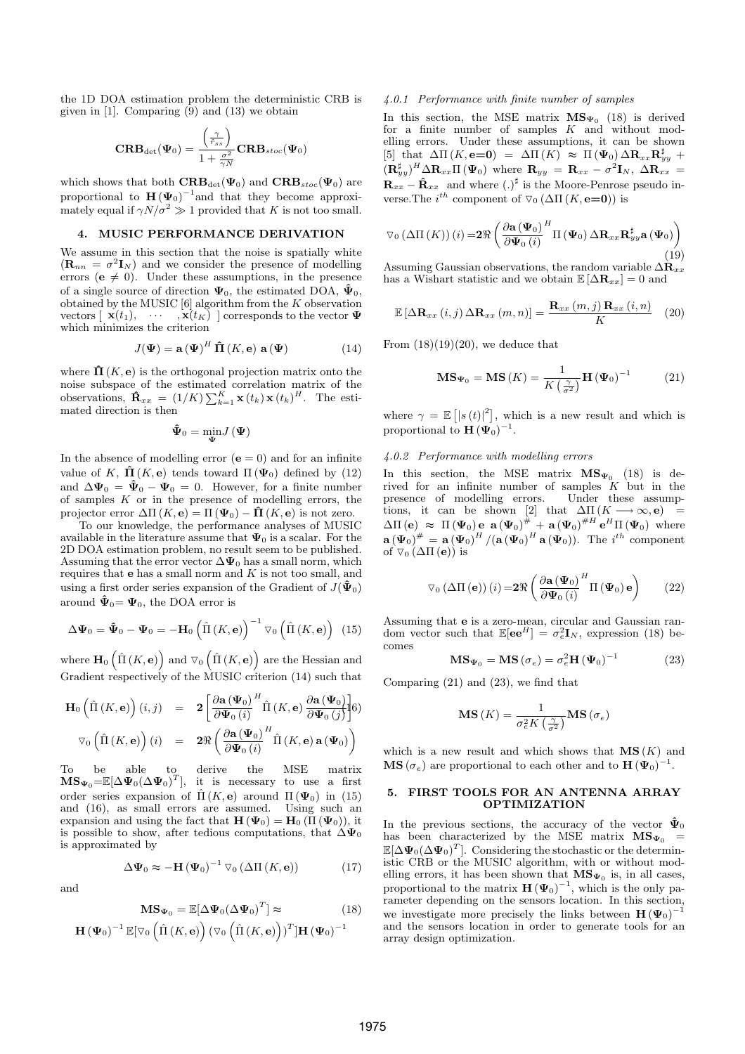the 1D DOA estimation problem the deterministic CRB is given in [1]. Comparing  $(9)$  and  $(13)$  we obtain

$$
\textbf{CRB}_{\text{det}}(\boldsymbol{\Psi}_0) = \frac{\left(\frac{\gamma}{\hat{r}_{ss}}\right)}{1+\frac{\sigma^2}{\gamma N}}\textbf{CRB}_{stoc}(\boldsymbol{\Psi}_0)
$$

which shows that both  $\text{CRB}_{\text{det}}(\Psi_0)$  and  $\text{CRB}_{\text{stoc}}(\Psi_0)$  are proportional to  $\mathbf{H}(\Psi_0)^{-1}$  and that they become approximately equal if  $\gamma N/\sigma^2 \gg 1$  provided that K is not too small.

#### 4. MUSIC PERFORMANCE DERIVATION

We assume in this section that the noise is spatially white  $(\mathbf{R}_{nn} = \sigma^2 \mathbf{I}_N)$  and we consider the presence of modelling errors ( $e \neq 0$ ). Under these assumptions, in the presence of a single source of direction  $\Psi_0$ , the estimated DOA,  $\hat{\Psi}_0$ , obtained by the MUSIC  $[6]$  algorithm from the K observation vectors  $[\mathbf{x}(t_1), \cdots, \mathbf{x}(t_K)]$  corresponds to the vector  $\Psi$ which minimizes the criterion

$$
J(\mathbf{\Psi}) = \mathbf{a}(\mathbf{\Psi})^H \mathbf{\hat{\Pi}}(K, \mathbf{e}) \mathbf{a}(\mathbf{\Psi})
$$
 (14)

where  $\hat{\Pi}(K, e)$  is the orthogonal projection matrix onto the noise subspace of the estimated correlation matrix of the holds subspace of the estimated correlation matrix of the observations,  $\mathbf{\hat{R}}_{xx} = (1/K) \sum_{k=1}^{K} \mathbf{x}(t_k) \mathbf{x}(t_k)^H$ . The estimated direction is then

$$
\boldsymbol{\hat{\Psi}}_{0}=\min_{\boldsymbol{\Psi}}J\left(\boldsymbol{\Psi}\right)
$$

In the absence of modelling error  $(e = 0)$  and for an infinite value of K,  $\hat{\Pi}(K, e)$  tends toward  $\Pi(\Psi_0)$  defined by (12) and  $\Delta \Psi_0 = \hat{\Psi}_0 - \Psi_0 = 0$ . However, for a finite number of samples  $K$  or in the presence of modelling errors, the projector error  $\Delta \Pi(K, e) = \Pi(\Psi_0) - \hat{\Pi}(K, e)$  is not zero.

To our knowledge, the performance analyses of MUSIC available in the literature assume that  $\Psi_0$  is a scalar. For the 2D DOA estimation problem, no result seem to be published. Assuming that the error vector  $\Delta \Psi_0$  has a small norm, which requires that  $e$  has a small norm and  $K$  is not too small, and using a first order series expansion of the Gradient of  $J(\hat{\Psi}_0)$ around  $\hat{\Psi}_0 = \Psi_0$ , the DOA error is

$$
\Delta \mathbf{\Psi}_0 = \mathbf{\hat{\Psi}}_0 - \mathbf{\Psi}_0 = -\mathbf{H}_0 \left( \hat{\Pi} \left( K, \mathbf{e} \right) \right)^{-1} \nabla_0 \left( \hat{\Pi} \left( K, \mathbf{e} \right) \right) \tag{15}
$$

where  $\mathbf{H}_0\left(\hat{\Pi}(K,\mathbf{e})\right)$  and  $\nabla_0\left(\hat{\Pi}(K,\mathbf{e})\right)$  are the Hessian and Gradient respectively of the MUSIC criterion (14) such that

$$
\mathbf{H}_{0} \left( \hat{\Pi} \left( K, \mathbf{e} \right) \right) (i, j) = 2 \left[ \frac{\partial \mathbf{a} \left( \mathbf{\Psi}_{0} \right)^{H}}{\partial \mathbf{\Psi}_{0} \left( i \right)} \hat{\Pi} \left( K, \mathbf{e} \right) \frac{\partial \mathbf{a} \left( \mathbf{\Psi}_{0} \right)}{\partial \mathbf{\Psi}_{0} \left( j \right)} \right] \tag{6}
$$
\n
$$
\nabla_{0} \left( \hat{\Pi} \left( K, \mathbf{e} \right) \right) (i) = 2 \Re \left( \frac{\partial \mathbf{a} \left( \mathbf{\Psi}_{0} \right)^{H}}{\partial \mathbf{\Psi}_{0} \left( i \right)} \hat{\Pi} \left( K, \mathbf{e} \right) \mathbf{a} \left( \mathbf{\Psi}_{0} \right) \right)
$$

To be able to derive the MSE matrix  $MS_{\Psi_0} = \mathbb{E}[\Delta \Psi_0 (\Delta \Psi_0)^T]$ , it is necessary to use a first order series expansion of  $\hat{\Pi}(K, e)$  around  $\Pi(\Psi_0)$  in (15) and (16), as small errors are assumed. Using such an expansion and using the fact that  $\mathbf{H}(\Psi_0) = \mathbf{H}_0(\Pi(\Psi_0))$ , it is possible to show, after tedious computations, that  $\Delta \Psi_0$ is approximated by

$$
\Delta \Psi_0 \approx -\mathbf{H} \left(\Psi_0\right)^{-1} \nabla_0 \left(\Delta \Pi \left(K, \mathbf{e}\right)\right) \tag{17}
$$

$$
\mathbf{MS}_{\Psi_0} = \mathbb{E}[\Delta \Psi_0 (\Delta \Psi_0)^T] \approx \tag{18}
$$

$$
\mathbf{H}(\mathbf{\Psi}_0)^{-1} \mathbb{E}[\nabla_0 \left( \hat{\Pi} (K, \mathbf{e}) \right) (\nabla_0 \left( \hat{\Pi} (K, \mathbf{e}) \right))^T] \mathbf{H} (\mathbf{\Psi}_0)^{-1}
$$

and

#### 4.0.1 Performance with finite number of samples

In this section, the MSE matrix  $MS_{\Psi_0}$  (18) is derived for a finite number of samples  $K$  and without modelling errors. Under these assumptions, it can be shown [5] that  $\Delta \Pi (K, e=0) = \Delta \Pi (K) \approx \Pi (\Psi_0) \Delta R_{xx} R_{yy}^{\sharp}$  +  $(\mathbf{R}_{yy}^{\sharp})^H \Delta \mathbf{R}_{xx} \Pi (\Psi_0)$  where  $\mathbf{R}_{yy} = \mathbf{R}_{xx} - \sigma^2 \mathbf{I}_N$ ,  $\Delta \mathbf{R}_{xx} =$  $\mathbf{R}_{xx} - \mathbf{\hat{R}}_{xx}$  and where  $(.)^{\sharp}$  is the Moore-Penrose pseudo inverse. The  $i^{th}$  component of  $\nabla_0 (\Delta \Pi (K, e=0))$  is

$$
\triangledown_{0} (\Delta \Pi(K)) (i) = 2 \Re \left( \frac{\partial \mathbf{a} (\mathbf{\Psi}_{0})}{\partial \mathbf{\Psi}_{0} (i)}^{H} \Pi (\mathbf{\Psi}_{0}) \Delta \mathbf{R}_{xx} \mathbf{R}_{yy}^{\sharp} \mathbf{a} (\mathbf{\Psi}_{0}) \right)
$$
\n(19)

Assuming Gaussian observations, the random variable  $\Delta \hat{\mathbf{R}}_{xx}$ has a Wishart statistic and we obtain  $\mathbb{E}[\Delta \mathbf{R}_{xx}] = 0$  and

$$
\mathbb{E}\left[\Delta \mathbf{R}_{xx}\left(i,j\right)\Delta \mathbf{R}_{xx}\left(m,n\right)\right]=\frac{\mathbf{R}_{xx}\left(m,j\right)\mathbf{R}_{xx}\left(i,n\right)}{K}\tag{20}
$$

From  $(18)(19)(20)$ , we deduce that

$$
\mathbf{MS}_{\Psi_0} = \mathbf{MS}\left(K\right) = \frac{1}{K\left(\frac{\gamma}{\sigma^2}\right)} \mathbf{H}\left(\Psi_0\right)^{-1} \tag{21}
$$

where  $\gamma = \mathbb{E} \left[ |s(t)|^2 \right]$ , which is a new result and which is proportional to  $\mathbf{H}(\mathbf{\Psi}_0)^{-1}$ .

## 4.0.2 Performance with modelling errors

In this section, the MSE matrix  $MS_{\Psi_0}$  (18) is derived for an infinite number of samples  $K$  but in the presence of modelling errors. Under these assumptions, it can be shown [2] that  $\Delta \Pi (K \longrightarrow \infty, e)$  =  $\Delta\Pi\left(\mathbf{e}\right) \approx \Pi\left(\mathbf{\Psi}_0\right)\mathbf{e} \mathbf{a}\left(\mathbf{\Psi}_0\right)^{\#} + \mathbf{a}\left(\mathbf{\Psi}_0\right)^{\#H}\mathbf{e}^H\Pi\left(\mathbf{\Psi}_0\right)$  where  $\mathbf{a}(\Psi_0)^{\#} = \mathbf{a}(\Psi_0)^H / (\mathbf{a}(\Psi_0)^H \mathbf{a}(\Psi_0)).$  The  $i^{th}$  component of  $\nabla_0 (\Delta \Pi (\mathbf{e}))$  is

$$
\nabla_0 \left( \Delta \Pi \left( \mathbf{e} \right) \right) (i) = 2 \Re \left( \frac{\partial \mathbf{a} \left( \mathbf{\Psi}_0 \right)}{\partial \mathbf{\Psi}_0 \left( i \right)}^H \Pi \left( \mathbf{\Psi}_0 \right) \mathbf{e} \right) \tag{22}
$$

Assuming that e is a zero-mean, circular and Gaussian random vector such that  $\mathbb{E}[\mathbf{e}\mathbf{e}^H] = \sigma_e^2 \mathbf{I}_N$ , expression (18) becomes

$$
\mathbf{MS}_{\Psi_0} = \mathbf{MS} \left( \sigma_e \right) = \sigma_e^2 \mathbf{H} \left( \Psi_0 \right)^{-1} \tag{23}
$$

Comparing (21) and (23), we find that

$$
\mathbf{MS}\left(K\right) = \frac{1}{\sigma_e^2 K\left(\frac{\gamma}{\sigma^2}\right)} \mathbf{MS}\left(\sigma_e\right)
$$

which is a new result and which shows that  $\mathbf{MS}(K)$  and **MS** ( $\sigma_e$ ) are proportional to each other and to **H** ( $\Psi_0$ )<sup>-1</sup>.

## 5. FIRST TOOLS FOR AN ANTENNA ARRAY OPTIMIZATION

In the previous sections, the accuracy of the vector  $\tilde{\Psi}_0$ has been characterized by the MSE matrix  $MS_{\Psi_0}$  =  $\mathbb{E}[\Delta \mathbf{\Psi}_0(\Delta \mathbf{\Psi}_0)^T]$ . Considering the stochastic or the deterministic CRB or the MUSIC algorithm, with or without modelling errors, it has been shown that  $MS_{\Psi_0}$  is, in all cases, proportional to the matrix  $\mathbf{H}(\Psi_0)^{-1}$ , which is the only parameter depending on the sensors location. In this section, we investigate more precisely the links between  $\mathbf{H}(\Psi_0)^{-1}$ and the sensors location in order to generate tools for an array design optimization.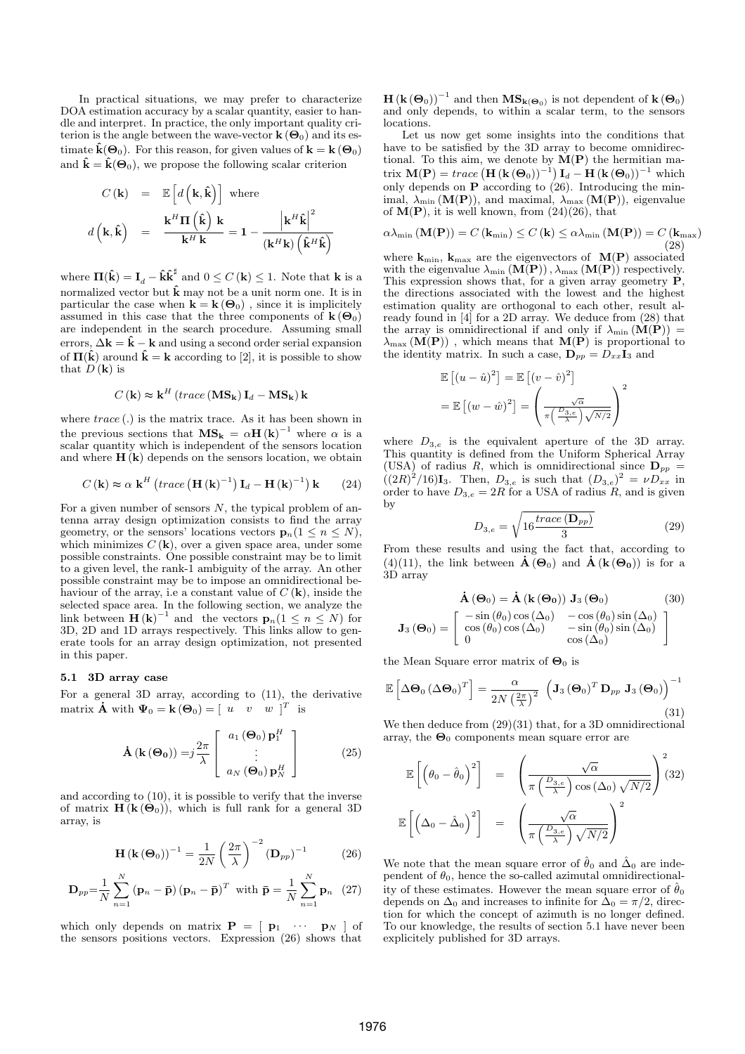In practical situations, we may prefer to characterize DOA estimation accuracy by a scalar quantity, easier to handle and interpret. In practice, the only important quality criterion is the angle between the wave-vector  $\mathbf{k}(\Theta_0)$  and its estimate  $\hat{\mathbf{k}}(\Theta_0)$ . For this reason, for given values of  $\mathbf{k} = \mathbf{k}(\Theta_0)$ and  $\hat{\mathbf{k}} = \hat{\mathbf{k}}(\mathbf{\Theta}_0)$ , we propose the following scalar criterion

$$
C(\mathbf{k}) = \mathbb{E}\left[d\left(\mathbf{k}, \hat{\mathbf{k}}\right)\right] \text{ where}
$$

$$
d\left(\mathbf{k}, \hat{\mathbf{k}}\right) = \frac{\mathbf{k}^{H} \Pi\left(\hat{\mathbf{k}}\right) \mathbf{k}}{\mathbf{k}^{H} \mathbf{k}} = 1 - \frac{\left|\mathbf{k}^{H} \hat{\mathbf{k}}\right|^{2}}{\left(\mathbf{k}^{H} \mathbf{k}\right)\left(\hat{\mathbf{k}}^{H} \hat{\mathbf{k}}\right)}
$$

where  $\Pi(\hat{\mathbf{k}}) = \mathbf{I}_d - \hat{\mathbf{k}} \hat{\mathbf{k}}^{\sharp}$  and  $0 \le C(\mathbf{k}) \le 1$ . Note that **k** is a normalized vector but  $\hat{\mathbf{k}}$  may not be a unit norm one. It is in particular the case when  $\mathbf{k} = \mathbf{k} (\mathbf{\Theta}_0)$ , since it is implicitely assumed in this case that the three components of  $\mathbf{k}(\Theta_0)$ are independent in the search procedure. Assuming small errors,  $\Delta \mathbf{k} = \hat{\mathbf{k}} - \mathbf{k}$  and using a second order serial expansion of  $\Pi(\hat{k})$  around  $\hat{k} = k$  according to [2], it is possible to show that  $D(\mathbf{k})$  is

$$
C\left(\mathbf{k}\right) \approx \mathbf{k}^H \left( \operatorname{trace}\left(\mathbf{MS}_{\mathbf{k}}\right) \mathbf{I}_d - \mathbf{MS}_{\mathbf{k}} \right) \mathbf{k}
$$

where  $trace(.)$  is the matrix trace. As it has been shown in the previous sections that  $MS_k = \alpha H(k)^{-1}$  where  $\alpha$  is a scalar quantity which is independent of the sensors location and where  $H(k)$  depends on the sensors location, we obtain

$$
C(\mathbf{k}) \approx \alpha \mathbf{k}^{H} \left( \operatorname{trace} \left( \mathbf{H} \left( \mathbf{k} \right)^{-1} \right) \mathbf{I}_{d} - \mathbf{H} \left( \mathbf{k} \right)^{-1} \right) \mathbf{k} \qquad (24)
$$

For a given number of sensors  $N$ , the typical problem of antenna array design optimization consists to find the array geometry, or the sensors' locations vectors  $\mathbf{p}_n(1 \leq n \leq N)$ , which minimizes  $C(\mathbf{k})$ , over a given space area, under some possible constraints. One possible constraint may be to limit to a given level, the rank-1 ambiguity of the array. An other possible constraint may be to impose an omnidirectional behaviour of the array, i.e a constant value of  $C(\mathbf{k})$ , inside the selected space area. In the following section, we analyze the link between  $\mathbf{H}(\mathbf{k})^{-1}$  and the vectors  $\mathbf{p}_n(1 \leq n \leq N)$  for 3D, 2D and 1D arrays respectively. This links allow to generate tools for an array design optimization, not presented in this paper.

## 5.1 3D array case

For a general 3D array, according to (11), the derivative matrix  $\dot{\mathbf{A}}$  with  $\Psi_0 = \mathbf{k}(\mathbf{\Theta}_0) = \begin{bmatrix} u & v & w \end{bmatrix}^T$  is

$$
\dot{\mathbf{A}}\left(\mathbf{k}\left(\mathbf{\Theta}_{0}\right)\right)=j\frac{2\pi}{\lambda}\left[\begin{array}{c} a_{1}\left(\mathbf{\Theta}_{0}\right)\mathbf{p}_{1}^{H} \\ \vdots \\ a_{N}\left(\mathbf{\Theta}_{0}\right)\mathbf{p}_{N}^{H} \end{array}\right]
$$
(25)

and according to (10), it is possible to verify that the inverse of matrix  $\mathbf{H}(\mathbf{k}(\Theta_0))$ , which is full rank for a general 3D array, is

$$
\mathbf{H}\left(\mathbf{k}\left(\mathbf{\Theta}_{0}\right)\right)^{-1} = \frac{1}{2N} \left(\frac{2\pi}{\lambda}\right)^{-2} \left(\mathbf{D}_{pp}\right)^{-1} \tag{26}
$$

$$
\mathbf{D}_{pp} = \frac{1}{N} \sum_{n=1}^{N} \left( \mathbf{p}_n - \bar{\mathbf{p}} \right) \left( \mathbf{p}_n - \bar{\mathbf{p}} \right)^T \text{ with } \bar{\mathbf{p}} = \frac{1}{N} \sum_{n=1}^{N} \mathbf{p}_n \quad (27)
$$

which only depends on matrix  $\mathbf{P} = [\begin{array}{ccc} \mathbf{p}_1 & \cdots & \mathbf{p}_N \end{array}]$  of the sensors positions vectors. Expression (26) shows that

 $\textbf{H}\left(\textbf{k}\left(\mathbf{\Theta}_{0}\right)\right)^{-1}$  and then  $\textbf{MS}_{\textbf{k}(\mathbf{\Theta}_{0})}$  is not dependent of  $\textbf{k}\left(\mathbf{\Theta}_{0}\right)$ and only depends, to within a scalar term, to the sensors locations.

Let us now get some insights into the conditions that have to be satisfied by the  $3\overline{D}$  array to become omnidirectional. To this aim, we denote by  $\tilde{M}(P)$  the hermitian matrix  $\mathbf{M}(\mathbf{P}) = \text{trace} \left( \mathbf{H} \left( \mathbf{k} \left( \mathbf{\Theta}_0 \right) \right)^{-1} \right) \mathbf{I}_d - \mathbf{H} \left( \mathbf{k} \left( \mathbf{\Theta}_0 \right) \right)^{-1}$  which only depends on  $P$  according to  $(26)$ . Introducing the minimal,  $\lambda_{\min}(\mathbf{M}(\mathbf{P}))$ , and maximal,  $\lambda_{\max}(\mathbf{M}(\mathbf{P}))$ , eigenvalue of  $M(P)$ , it is well known, from  $(24)(26)$ , that

$$
\alpha\lambda_{\min}\left(\mathbf{M}(\mathbf{P})\right) = C\left(\mathbf{k}_{\min}\right) \le C\left(\mathbf{k}\right) \le \alpha\lambda_{\min}\left(\mathbf{M}(\mathbf{P})\right) = C\left(\mathbf{k}_{\max}\right) \tag{28}
$$

where  $k_{\min}$ ,  $k_{\max}$  are the eigenvectors of  $M(P)$  associated with the eigenvalue  $\lambda_{\min}(\mathbf{M}(\mathbf{P}))$ ,  $\lambda_{\max}(\mathbf{M}(\mathbf{P}))$  respectively. This expression shows that, for a given array geometry  $\tilde{P}$ , the directions associated with the lowest and the highest estimation quality are orthogonal to each other, result already found in [4] for a 2D array. We deduce from (28) that the array is omnidirectional if and only if  $\lambda_{\min}(\mathbf{M}(\mathbf{P}))$  =  $\lambda_{\max}(\tilde{M}(P))$ , which means that  $M(P)$  is proportional to the identity matrix. In such a case,  $\mathbf{D}_{pp} = D_{xx} \mathbf{I}_3$  and

$$
\mathbb{E}\left[(u-\hat{u})^2\right] = \mathbb{E}\left[(v-\hat{v})^2\right]
$$

$$
= \mathbb{E}\left[(w-\hat{w})^2\right] = \left(\frac{\sqrt{\alpha}}{\pi\left(\frac{D_{3,e}}{\lambda}\right)\sqrt{N/2}}\right)^2
$$

where  $D_{3,e}$  is the equivalent aperture of the 3D array. This quantity is defined from the Uniform Spherical Array (USA) of radius R, which is omnidirectional since  $\mathbf{D}_{pp} =$  $((2R)^{2}/16)I_{3}$ . Then,  $D_{3,e}$  is such that  $(D_{3,e})^{2} = \nu D_{xx}$  in order to have  $D_{3,e} = 2R$  for a USA of radius R, and is given by r

$$
D_{3,e} = \sqrt{16 \frac{\text{trace}(\mathbf{D}_{pp})}{3}} \tag{29}
$$

From these results and using the fact that, according to (4)(11), the link between  $\dot{\mathbf{A}}(\Theta_0)$  and  $\dot{\mathbf{A}}(\mathbf{k}(\Theta_0))$  is for a 3D array

$$
\mathbf{\dot{A}}(\Theta_0) = \mathbf{\dot{A}}(\mathbf{k}(\Theta_0)) \mathbf{J}_3(\Theta_0)
$$
(30)  

$$
\mathbf{J}_3(\Theta_0) = \begin{bmatrix} -\sin(\theta_0)\cos(\Delta_0) & -\cos(\theta_0)\sin(\Delta_0) \\ \cos(\theta_0)\cos(\Delta_0) & -\sin(\theta_0)\sin(\Delta_0) \\ 0 & \cos(\Delta_0) \end{bmatrix}
$$

the Mean Square error matrix of  $\Theta_0$  is

$$
\mathbb{E}\left[\Delta\mathbf{\Theta}_0\left(\Delta\mathbf{\Theta}_0\right)^T\right] = \frac{\alpha}{2N\left(\frac{2\pi}{\lambda}\right)^2} \left(\mathbf{J}_3\left(\mathbf{\Theta}_0\right)^T \mathbf{D}_{pp} \mathbf{J}_3\left(\mathbf{\Theta}_0\right)\right)^{-1}
$$
\n(31)

We then deduce from  $(29)(31)$  that, for a 3D omnidirectional array, the  $\Theta_0$  components mean square error are

$$
\mathbb{E}\left[\left(\theta_{0}-\hat{\theta}_{0}\right)^{2}\right] = \left(\frac{\sqrt{\alpha}}{\pi\left(\frac{D_{3,e}}{\lambda}\right)\cos\left(\Delta_{0}\right)\sqrt{N/2}}\right)^{2}(32)
$$
\n
$$
\mathbb{E}\left[\left(\Delta_{0}-\hat{\Delta}_{0}\right)^{2}\right] = \left(\frac{\sqrt{\alpha}}{\pi\left(\frac{D_{3,e}}{\lambda}\right)\sqrt{N/2}}\right)^{2}
$$

We note that the mean square error of  $\hat{\theta}_0$  and  $\hat{\Delta}_0$  are independent of  $\theta_0$ , hence the so-called azimutal omnidirectionality of these estimates. However the mean square error of  $\hat{\theta}_0$ depends on  $\Delta_0$  and increases to infinite for  $\Delta_0 = \pi/2$ , direction for which the concept of azimuth is no longer defined. To our knowledge, the results of section 5.1 have never been explicitely published for 3D arrays.